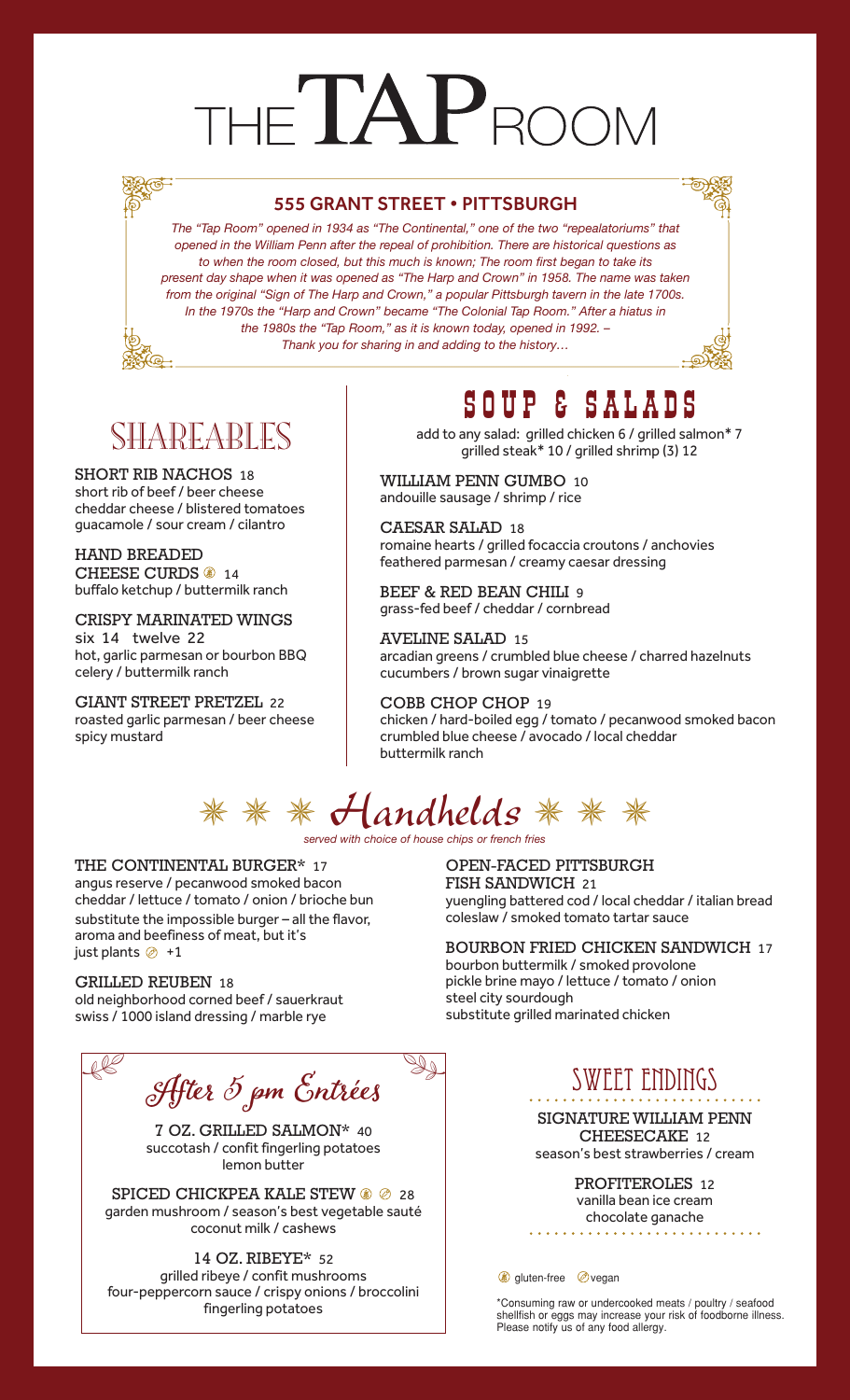# THE TAPROOM

### 555 GRANT STREET • PITTSBURGH

*The "Tap Room" opened in 1934 as "The Continental," one of the two "repealatoriums" that opened in the William Penn after the repeal of prohibition. There are historical questions as to when the room closed, but this much is known; The room first began to take its present day shape when it was opened as "The Harp and Crown" in 1958. The name was taken from the original "Sign of The Harp and Crown," a popular Pittsburgh tavern in the late 1700s. In the 1970s the "Harp and Crown" became "The Colonial Tap Room." After a hiatus in the 1980s the "Tap Room," as it is known today, opened in 1992. – Thank you for sharing in and adding to the history…*

## SHAREABLES

SHORT RIB NACHOS 18 short rib of beef / beer cheese cheddar cheese / blistered tomatoes guacamole / sour cream / cilantro

HAND BREADED CHEESE CURDS 3 14 buffalo ketchup / buttermilk ranch

CRISPY MARINATED WINGS six 14 twelve 22 hot, garlic parmesan or bourbon BBQ celery / buttermilk ranch

GIANT STREET PRETZEL 22 roasted garlic parmesan / beer cheese spicy mustard

## SOUP & SALADS

add to any salad: grilled chicken 6 / grilled salmon\* 7 grilled steak\* 10 / grilled shrimp (3) 12

WILLIAM PENN GUMBO 10 andouille sausage / shrimp / rice

CAESAR SALAD 18 romaine hearts / grilled focaccia croutons / anchovies feathered parmesan / creamy caesar dressing

BEEF & RED BEAN CHILI 9 grass-fed beef / cheddar / cornbread

AVELINE SALAD 15 arcadian greens / crumbled blue cheese / charred hazelnuts cucumbers / brown sugar vinaigrette

COBB CHOP CHOP 19 chicken / hard-boiled egg / tomato / pecanwood smoked bacon crumbled blue cheese / avocado / local cheddar buttermilk ranch

# $** * H$ andhelds \* \* \*

*served with choice of house chips or french fries*

### THE CONTINENTAL BURGER\* 17

angus reserve / pecanwood smoked bacon cheddar / lettuce / tomato / onion / brioche bun substitute the impossible burger – all the flavor, aroma and beefiness of meat, but it's just plants  $\oslash +1$ 

#### GRILLED REUBEN 18

old neighborhood corned beef / sauerkraut swiss / 1000 island dressing / marble rye

After 5 pm Entrées  $R^2$  of the  $5$   $S$  to be  $\mathbb{Z}_2$ 

7 OZ. GRILLED SALMON\* 40 succotash / confit fingerling potatoes lemon butter

SPICED CHICKPEA KALE STEW  $\circledast \circledast$  28 garden mushroom / season's best vegetable sauté coconut milk / cashews

14 OZ. RIBEYE\* 52 grilled ribeye / confit mushrooms four-peppercorn sauce / crispy onions / broccolini fingerling potatoes

OPEN-FACED PITTSBURGH FISH SANDWICH 21 yuengling battered cod / local cheddar / italian bread coleslaw / smoked tomato tartar sauce

BOURBON FRIED CHICKEN SANDWICH 17 bourbon buttermilk / smoked provolone pickle brine mayo / lettuce / tomato / onion steel city sourdough substitute grilled marinated chicken

## SWEET ENDINGS

SIGNATURE WILLIAM PENN CHEESECAKE 12 season's best strawberries / cream

> PROFITEROLES 12 vanilla bean ice cream chocolate ganache

**gluten-free** *ovegan* 

\*Consuming raw or undercooked meats / poultry / seafood shellfish or eggs may increase your risk of foodborne illness. Please notify us of any food allergy.